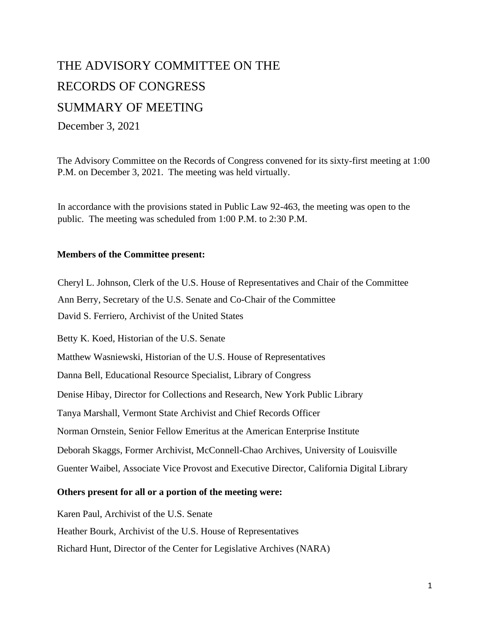# THE ADVISORY COMMITTEE ON THE RECORDS OF CONGRESS SUMMARY OF MEETING December 3, 2021

The Advisory Committee on the Records of Congress convened for its sixty-first meeting at 1:00 P.M. on December 3, 2021. The meeting was held virtually.

In accordance with the provisions stated in Public Law 92-463, the meeting was open to the public. The meeting was scheduled from 1:00 P.M. to 2:30 P.M.

#### **Members of the Committee present:**

Cheryl L. Johnson, Clerk of the U.S. House of Representatives and Chair of the Committee Ann Berry, Secretary of the U.S. Senate and Co-Chair of the Committee David S. Ferriero, Archivist of the United States

Betty K. Koed, Historian of the U.S. Senate Matthew Wasniewski, Historian of the U.S. House of Representatives Danna Bell, Educational Resource Specialist, Library of Congress Denise Hibay, Director for Collections and Research, New York Public Library Tanya Marshall, Vermont State Archivist and Chief Records Officer Norman Ornstein, Senior Fellow Emeritus at the American Enterprise Institute Deborah Skaggs, Former Archivist, McConnell-Chao Archives, University of Louisville Guenter Waibel, Associate Vice Provost and Executive Director, California Digital Library

# **Others present for all or a portion of the meeting were:**

Karen Paul, Archivist of the U.S. Senate

Heather Bourk, Archivist of the U.S. House of Representatives

Richard Hunt, Director of the Center for Legislative Archives (NARA)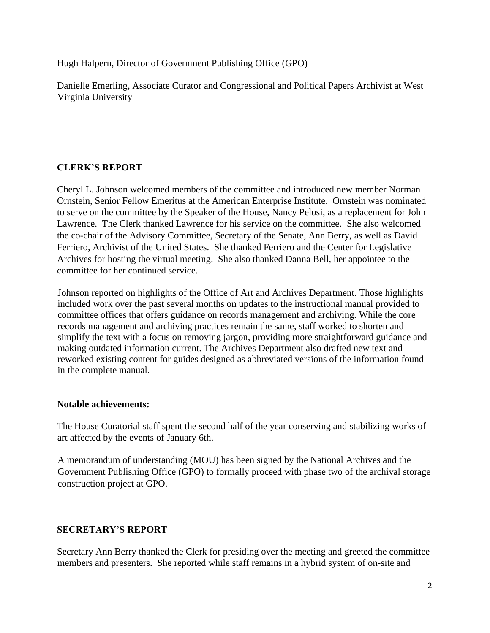Hugh Halpern, Director of Government Publishing Office (GPO)

Danielle Emerling, Associate Curator and Congressional and Political Papers Archivist at West Virginia University

# **CLERK'S REPORT**

Cheryl L. Johnson welcomed members of the committee and introduced new member Norman Ornstein, Senior Fellow Emeritus at the American Enterprise Institute. Ornstein was nominated to serve on the committee by the Speaker of the House, Nancy Pelosi, as a replacement for John Lawrence. The Clerk thanked Lawrence for his service on the committee. She also welcomed the co-chair of the Advisory Committee, Secretary of the Senate, Ann Berry, as well as David Ferriero, Archivist of the United States. She thanked Ferriero and the Center for Legislative Archives for hosting the virtual meeting. She also thanked Danna Bell, her appointee to the committee for her continued service.

Johnson reported on highlights of the Office of Art and Archives Department. Those highlights included work over the past several months on updates to the instructional manual provided to committee offices that offers guidance on records management and archiving. While the core records management and archiving practices remain the same, staff worked to shorten and simplify the text with a focus on removing jargon, providing more straightforward guidance and making outdated information current. The Archives Department also drafted new text and reworked existing content for guides designed as abbreviated versions of the information found in the complete manual.

# **Notable achievements:**

The House Curatorial staff spent the second half of the year conserving and stabilizing works of art affected by the events of January 6th.

A memorandum of understanding (MOU) has been signed by the National Archives and the Government Publishing Office (GPO) to formally proceed with phase two of the archival storage construction project at GPO.

# **SECRETARY'S REPORT**

Secretary Ann Berry thanked the Clerk for presiding over the meeting and greeted the committee members and presenters. She reported while staff remains in a hybrid system of on-site and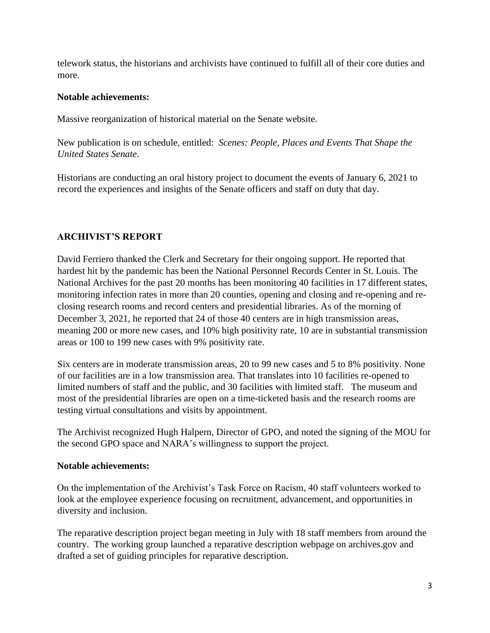telework status, the historians and archivists have continued to fulfill all of their core duties and more.

## **Notable achievements:**

Massive reorganization of historical material on the Senate website.

New publication is on schedule, entitled: *Scenes: People, Places and Events That Shape the United States Senate*.

Historians are conducting an oral history project to document the events of January 6, 2021 to record the experiences and insights of the Senate officers and staff on duty that day.

# **ARCHIVIST'S REPORT**

David Ferriero thanked the Clerk and Secretary for their ongoing support. He reported that hardest hit by the pandemic has been the National Personnel Records Center in St. Louis. The National Archives for the past 20 months has been monitoring 40 facilities in 17 different states, monitoring infection rates in more than 20 counties, opening and closing and re-opening and reclosing research rooms and record centers and presidential libraries. As of the morning of December 3, 2021, he reported that 24 of those 40 centers are in high transmission areas, meaning 200 or more new cases, and 10% high positivity rate, 10 are in substantial transmission areas or 100 to 199 new cases with 9% positivity rate.

Six centers are in moderate transmission areas, 20 to 99 new cases and 5 to 8% positivity. None of our facilities are in a low transmission area. That translates into 10 facilities re-opened to limited numbers of staff and the public, and 30 facilities with limited staff. The museum and most of the presidential libraries are open on a time-ticketed basis and the research rooms are testing virtual consultations and visits by appointment.

The Archivist recognized Hugh Halpern, Director of GPO, and noted the signing of the MOU for the second GPO space and NARA's willingness to support the project.

#### **Notable achievements:**

On the implementation of the Archivist's Task Force on Racism, 40 staff volunteers worked to look at the employee experience focusing on recruitment, advancement, and opportunities in diversity and inclusion.

The reparative description project began meeting in July with 18 staff members from around the country. The working group launched a reparative description webpage on archives.gov and drafted a set of guiding principles for reparative description.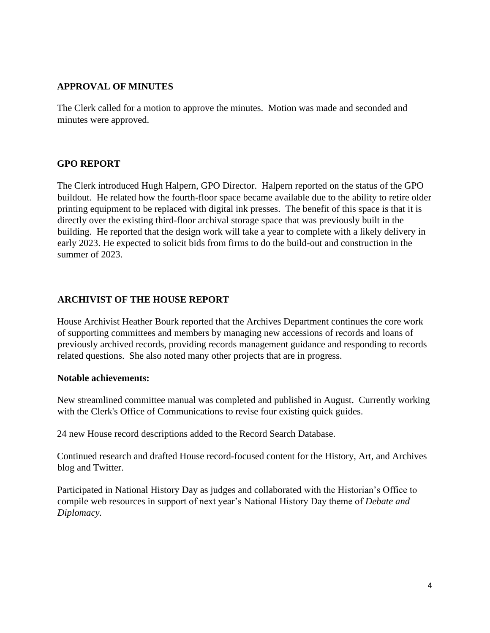# **APPROVAL OF MINUTES**

The Clerk called for a motion to approve the minutes. Motion was made and seconded and minutes were approved.

#### **GPO REPORT**

The Clerk introduced Hugh Halpern, GPO Director. Halpern reported on the status of the GPO buildout. He related how the fourth-floor space became available due to the ability to retire older printing equipment to be replaced with digital ink presses. The benefit of this space is that it is directly over the existing third-floor archival storage space that was previously built in the building. He reported that the design work will take a year to complete with a likely delivery in early 2023. He expected to solicit bids from firms to do the build-out and construction in the summer of 2023.

# **ARCHIVIST OF THE HOUSE REPORT**

House Archivist Heather Bourk reported that the Archives Department continues the core work of supporting committees and members by managing new accessions of records and loans of previously archived records, providing records management guidance and responding to records related questions. She also noted many other projects that are in progress.

#### **Notable achievements:**

New streamlined committee manual was completed and published in August. Currently working with the Clerk's Office of Communications to revise four existing quick guides.

24 new House record descriptions added to the Record Search Database.

Continued research and drafted House record-focused content for the History, Art, and Archives blog and Twitter.

Participated in National History Day as judges and collaborated with the Historian's Office to compile web resources in support of next year's National History Day theme of *Debate and Diplomacy.*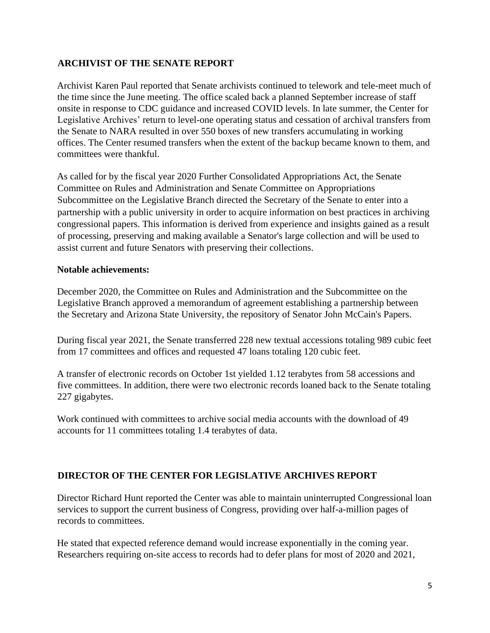# **ARCHIVIST OF THE SENATE REPORT**

Archivist Karen Paul reported that Senate archivists continued to telework and tele-meet much of the time since the June meeting. The office scaled back a planned September increase of staff onsite in response to CDC guidance and increased COVID levels. In late summer, the Center for Legislative Archives' return to level-one operating status and cessation of archival transfers from the Senate to NARA resulted in over 550 boxes of new transfers accumulating in working offices. The Center resumed transfers when the extent of the backup became known to them, and committees were thankful.

As called for by the fiscal year 2020 Further Consolidated Appropriations Act, the Senate Committee on Rules and Administration and Senate Committee on Appropriations Subcommittee on the Legislative Branch directed the Secretary of the Senate to enter into a partnership with a public university in order to acquire information on best practices in archiving congressional papers. This information is derived from experience and insights gained as a result of processing, preserving and making available a Senator's large collection and will be used to assist current and future Senators with preserving their collections.

## **Notable achievements:**

December 2020, the Committee on Rules and Administration and the Subcommittee on the Legislative Branch approved a memorandum of agreement establishing a partnership between the Secretary and Arizona State University, the repository of Senator John McCain's Papers.

During fiscal year 2021, the Senate transferred 228 new textual accessions totaling 989 cubic feet from 17 committees and offices and requested 47 loans totaling 120 cubic feet.

A transfer of electronic records on October 1st yielded 1.12 terabytes from 58 accessions and five committees. In addition, there were two electronic records loaned back to the Senate totaling 227 gigabytes.

Work continued with committees to archive social media accounts with the download of 49 accounts for 11 committees totaling 1.4 terabytes of data.

# **DIRECTOR OF THE CENTER FOR LEGISLATIVE ARCHIVES REPORT**

Director Richard Hunt reported the Center was able to maintain uninterrupted Congressional loan services to support the current business of Congress, providing over half-a-million pages of records to committees.

He stated that expected reference demand would increase exponentially in the coming year. Researchers requiring on-site access to records had to defer plans for most of 2020 and 2021,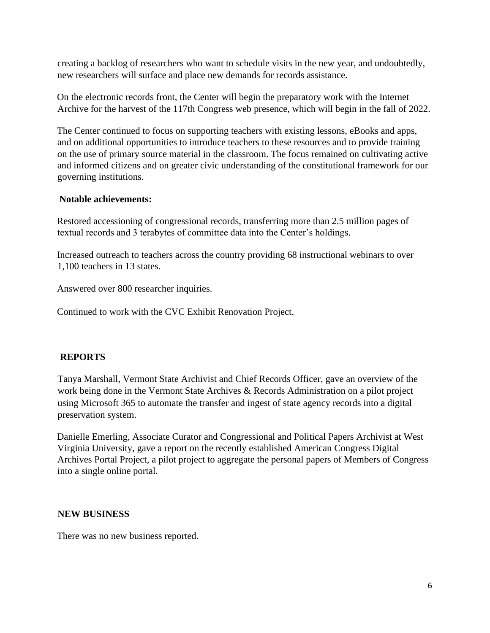creating a backlog of researchers who want to schedule visits in the new year, and undoubtedly, new researchers will surface and place new demands for records assistance.

On the electronic records front, the Center will begin the preparatory work with the Internet Archive for the harvest of the 117th Congress web presence, which will begin in the fall of 2022.

The Center continued to focus on supporting teachers with existing lessons, eBooks and apps, and on additional opportunities to introduce teachers to these resources and to provide training on the use of primary source material in the classroom. The focus remained on cultivating active and informed citizens and on greater civic understanding of the constitutional framework for our governing institutions.

## **Notable achievements:**

Restored accessioning of congressional records, transferring more than 2.5 million pages of textual records and 3 terabytes of committee data into the Center's holdings.

Increased outreach to teachers across the country providing 68 instructional webinars to over 1,100 teachers in 13 states.

Answered over 800 researcher inquiries.

Continued to work with the CVC Exhibit Renovation Project.

# **REPORTS**

Tanya Marshall, Vermont State Archivist and Chief Records Officer, gave an overview of the work being done in the Vermont State Archives & Records Administration on a pilot project using Microsoft 365 to automate the transfer and ingest of state agency records into a digital preservation system.

Danielle Emerling, Associate Curator and Congressional and Political Papers Archivist at West Virginia University, gave a report on the recently established American Congress Digital Archives Portal Project, a pilot project to aggregate the personal papers of Members of Congress into a single online portal.

#### **NEW BUSINESS**

There was no new business reported.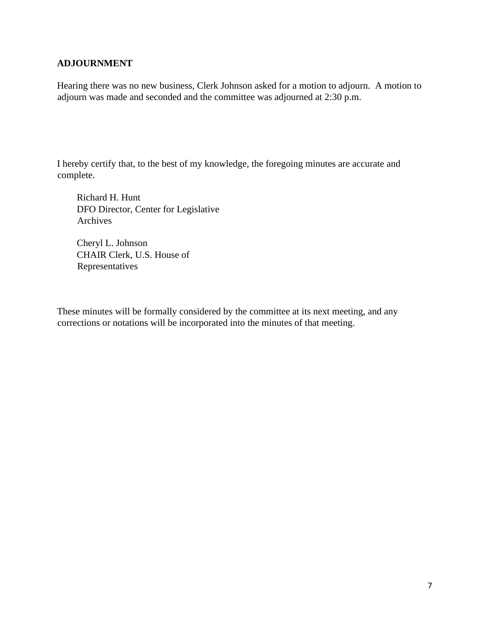## **ADJOURNMENT**

Hearing there was no new business, Clerk Johnson asked for a motion to adjourn. A motion to adjourn was made and seconded and the committee was adjourned at 2:30 p.m.

I hereby certify that, to the best of my knowledge, the foregoing minutes are accurate and complete.

Richard H. Hunt DFO Director, Center for Legislative Archives

Cheryl L. Johnson CHAIR Clerk, U.S. House of Representatives

These minutes will be formally considered by the committee at its next meeting, and any corrections or notations will be incorporated into the minutes of that meeting.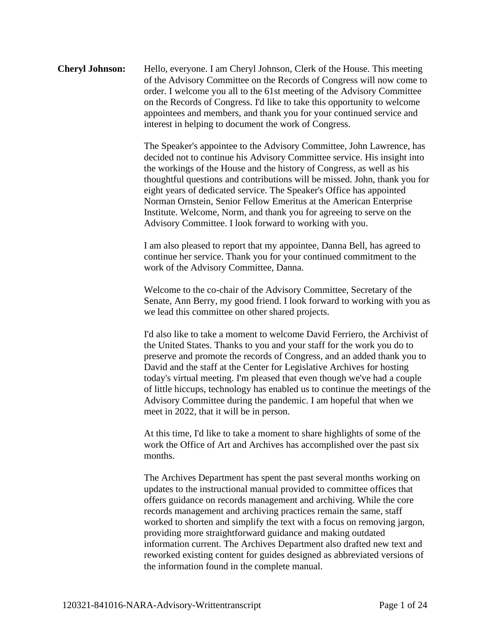# **Cheryl Johnson:** Hello, everyone. I am Cheryl Johnson, Clerk of the House. This meeting of the Advisory Committee on the Records of Congress will now come to order. I welcome you all to the 61st meeting of the Advisory Committee on the Records of Congress. I'd like to take this opportunity to welcome appointees and members, and thank you for your continued service and interest in helping to document the work of Congress.

The Speaker's appointee to the Advisory Committee, John Lawrence, has decided not to continue his Advisory Committee service. His insight into the workings of the House and the history of Congress, as well as his thoughtful questions and contributions will be missed. John, thank you for eight years of dedicated service. The Speaker's Office has appointed Norman Ornstein, Senior Fellow Emeritus at the American Enterprise Institute. Welcome, Norm, and thank you for agreeing to serve on the Advisory Committee. I look forward to working with you.

I am also pleased to report that my appointee, Danna Bell, has agreed to continue her service. Thank you for your continued commitment to the work of the Advisory Committee, Danna.

Welcome to the co-chair of the Advisory Committee, Secretary of the Senate, Ann Berry, my good friend. I look forward to working with you as we lead this committee on other shared projects.

I'd also like to take a moment to welcome David Ferriero, the Archivist of the United States. Thanks to you and your staff for the work you do to preserve and promote the records of Congress, and an added thank you to David and the staff at the Center for Legislative Archives for hosting today's virtual meeting. I'm pleased that even though we've had a couple of little hiccups, technology has enabled us to continue the meetings of the Advisory Committee during the pandemic. I am hopeful that when we meet in 2022, that it will be in person.

At this time, I'd like to take a moment to share highlights of some of the work the Office of Art and Archives has accomplished over the past six months.

The Archives Department has spent the past several months working on updates to the instructional manual provided to committee offices that offers guidance on records management and archiving. While the core records management and archiving practices remain the same, staff worked to shorten and simplify the text with a focus on removing jargon, providing more straightforward guidance and making outdated information current. The Archives Department also drafted new text and reworked existing content for guides designed as abbreviated versions of the information found in the complete manual.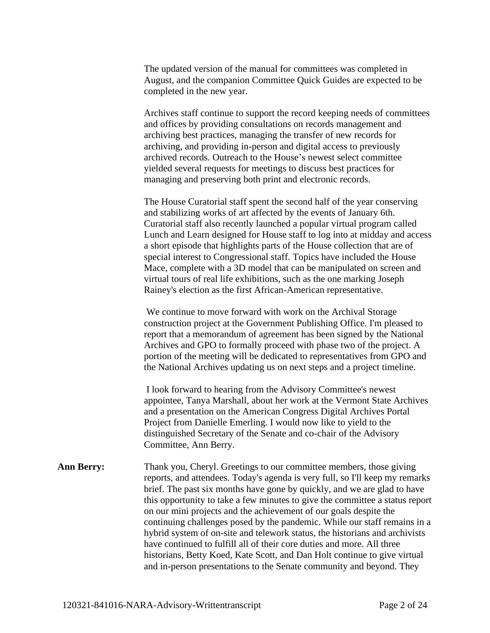The updated version of the manual for committees was completed in August, and the companion Committee Quick Guides are expected to be completed in the new year.

Archives staff continue to support the record keeping needs of committees and offices by providing consultations on records management and archiving best practices, managing the transfer of new records for archiving, and providing in-person and digital access to previously archived records. Outreach to the House's newest select committee yielded several requests for meetings to discuss best practices for managing and preserving both print and electronic records.

The House Curatorial staff spent the second half of the year conserving and stabilizing works of art affected by the events of January 6th. Curatorial staff also recently launched a popular virtual program called Lunch and Learn designed for House staff to log into at midday and access a short episode that highlights parts of the House collection that are of special interest to Congressional staff. Topics have included the House Mace, complete with a 3D model that can be manipulated on screen and virtual tours of real life exhibitions, such as the one marking Joseph Rainey's election as the first African-American representative.

We continue to move forward with work on the Archival Storage construction project at the Government Publishing Office. I'm pleased to report that a memorandum of agreement has been signed by the National Archives and GPO to formally proceed with phase two of the project. A portion of the meeting will be dedicated to representatives from GPO and the National Archives updating us on next steps and a project timeline.

I look forward to hearing from the Advisory Committee's newest appointee, Tanya Marshall, about her work at the Vermont State Archives and a presentation on the American Congress Digital Archives Portal Project from Danielle Emerling. I would now like to yield to the distinguished Secretary of the Senate and co-chair of the Advisory Committee, Ann Berry.

**Ann Berry:** Thank you, Cheryl. Greetings to our committee members, those giving reports, and attendees. Today's agenda is very full, so I'll keep my remarks brief. The past six months have gone by quickly, and we are glad to have this opportunity to take a few minutes to give the committee a status report on our mini projects and the achievement of our goals despite the continuing challenges posed by the pandemic. While our staff remains in a hybrid system of on-site and telework status, the historians and archivists have continued to fulfill all of their core duties and more. All three historians, Betty Koed, Kate Scott, and Dan Holt continue to give virtual and in-person presentations to the Senate community and beyond. They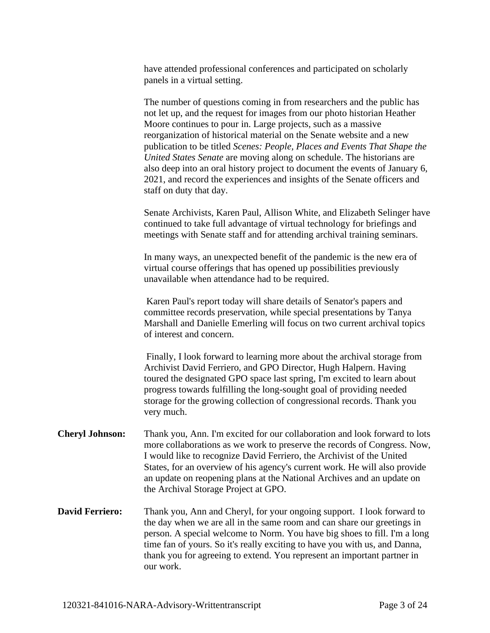have attended professional conferences and participated on scholarly panels in a virtual setting.

The number of questions coming in from researchers and the public has not let up, and the request for images from our photo historian Heather Moore continues to pour in. Large projects, such as a massive reorganization of historical material on the Senate website and a new publication to be titled *Scenes: People, Places and Events That Shape the United States Senate* are moving along on schedule. The historians are also deep into an oral history project to document the events of January 6, 2021, and record the experiences and insights of the Senate officers and staff on duty that day.

Senate Archivists, Karen Paul, Allison White, and Elizabeth Selinger have continued to take full advantage of virtual technology for briefings and meetings with Senate staff and for attending archival training seminars.

In many ways, an unexpected benefit of the pandemic is the new era of virtual course offerings that has opened up possibilities previously unavailable when attendance had to be required.

Karen Paul's report today will share details of Senator's papers and committee records preservation, while special presentations by Tanya Marshall and Danielle Emerling will focus on two current archival topics of interest and concern.

Finally, I look forward to learning more about the archival storage from Archivist David Ferriero, and GPO Director, Hugh Halpern. Having toured the designated GPO space last spring, I'm excited to learn about progress towards fulfilling the long-sought goal of providing needed storage for the growing collection of congressional records. Thank you very much.

- **Cheryl Johnson:** Thank you, Ann. I'm excited for our collaboration and look forward to lots more collaborations as we work to preserve the records of Congress. Now, I would like to recognize David Ferriero, the Archivist of the United States, for an overview of his agency's current work. He will also provide an update on reopening plans at the National Archives and an update on the Archival Storage Project at GPO.
- **David Ferriero:** Thank you, Ann and Cheryl, for your ongoing support. I look forward to the day when we are all in the same room and can share our greetings in person. A special welcome to Norm. You have big shoes to fill. I'm a long time fan of yours. So it's really exciting to have you with us, and Danna, thank you for agreeing to extend. You represent an important partner in our work.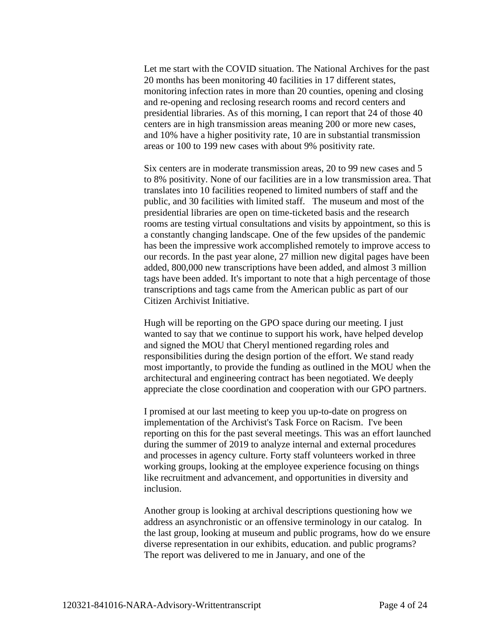Let me start with the COVID situation. The National Archives for the past 20 months has been monitoring 40 facilities in 17 different states, monitoring infection rates in more than 20 counties, opening and closing and re-opening and reclosing research rooms and record centers and presidential libraries. As of this morning, I can report that 24 of those 40 centers are in high transmission areas meaning 200 or more new cases, and 10% have a higher positivity rate, 10 are in substantial transmission areas or 100 to 199 new cases with about 9% positivity rate.

Six centers are in moderate transmission areas, 20 to 99 new cases and 5 to 8% positivity. None of our facilities are in a low transmission area. That translates into 10 facilities reopened to limited numbers of staff and the public, and 30 facilities with limited staff. The museum and most of the presidential libraries are open on time-ticketed basis and the research rooms are testing virtual consultations and visits by appointment, so this is a constantly changing landscape. One of the few upsides of the pandemic has been the impressive work accomplished remotely to improve access to our records. In the past year alone, 27 million new digital pages have been added, 800,000 new transcriptions have been added, and almost 3 million tags have been added. It's important to note that a high percentage of those transcriptions and tags came from the American public as part of our Citizen Archivist Initiative.

Hugh will be reporting on the GPO space during our meeting. I just wanted to say that we continue to support his work, have helped develop and signed the MOU that Cheryl mentioned regarding roles and responsibilities during the design portion of the effort. We stand ready most importantly, to provide the funding as outlined in the MOU when the architectural and engineering contract has been negotiated. We deeply appreciate the close coordination and cooperation with our GPO partners.

I promised at our last meeting to keep you up-to-date on progress on implementation of the Archivist's Task Force on Racism. I've been reporting on this for the past several meetings. This was an effort launched during the summer of 2019 to analyze internal and external procedures and processes in agency culture. Forty staff volunteers worked in three working groups, looking at the employee experience focusing on things like recruitment and advancement, and opportunities in diversity and inclusion.

Another group is looking at archival descriptions questioning how we address an asynchronistic or an offensive terminology in our catalog. In the last group, looking at museum and public programs, how do we ensure diverse representation in our exhibits, education. and public programs? The report was delivered to me in January, and one of the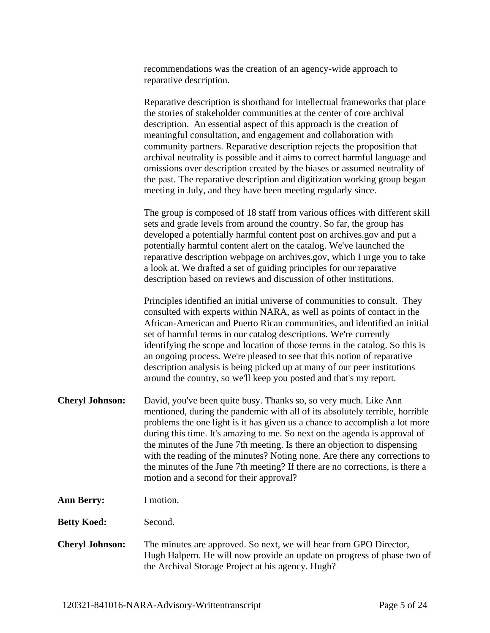recommendations was the creation of an agency-wide approach to reparative description.

Reparative description is shorthand for intellectual frameworks that place the stories of stakeholder communities at the center of core archival description. An essential aspect of this approach is the creation of meaningful consultation, and engagement and collaboration with community partners. Reparative description rejects the proposition that archival neutrality is possible and it aims to correct harmful language and omissions over description created by the biases or assumed neutrality of the past. The reparative description and digitization working group began meeting in July, and they have been meeting regularly since.

The group is composed of 18 staff from various offices with different skill sets and grade levels from around the country. So far, the group has developed a potentially harmful content post on archives.gov and put a potentially harmful content alert on the catalog. We've launched the reparative description webpage on archives.gov, which I urge you to take a look at. We drafted a set of guiding principles for our reparative description based on reviews and discussion of other institutions.

Principles identified an initial universe of communities to consult. They consulted with experts within NARA, as well as points of contact in the African-American and Puerto Rican communities, and identified an initial set of harmful terms in our catalog descriptions. We're currently identifying the scope and location of those terms in the catalog. So this is an ongoing process. We're pleased to see that this notion of reparative description analysis is being picked up at many of our peer institutions around the country, so we'll keep you posted and that's my report.

- **Cheryl Johnson:** David, you've been quite busy. Thanks so, so very much. Like Ann mentioned, during the pandemic with all of its absolutely terrible, horrible problems the one light is it has given us a chance to accomplish a lot more during this time. It's amazing to me. So next on the agenda is approval of the minutes of the June 7th meeting. Is there an objection to dispensing with the reading of the minutes? Noting none. Are there any corrections to the minutes of the June 7th meeting? If there are no corrections, is there a motion and a second for their approval?
- **Ann Berry:** I motion.
- **Betty Koed:** Second.
- **Cheryl Johnson:** The minutes are approved. So next, we will hear from GPO Director, Hugh Halpern. He will now provide an update on progress of phase two of the Archival Storage Project at his agency. Hugh?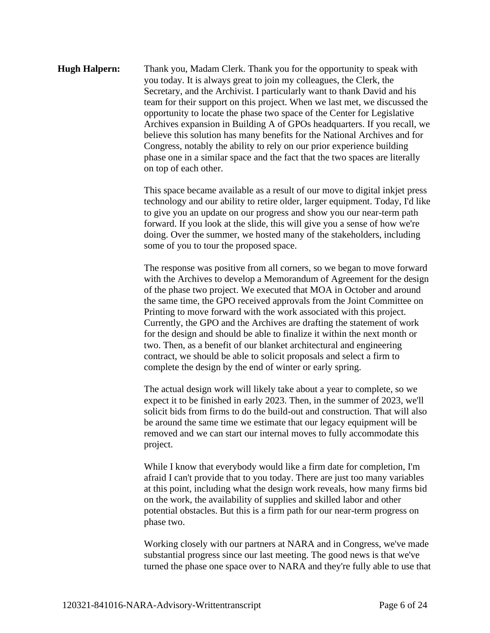## **Hugh Halpern:** Thank you, Madam Clerk. Thank you for the opportunity to speak with you today. It is always great to join my colleagues, the Clerk, the Secretary, and the Archivist. I particularly want to thank David and his team for their support on this project. When we last met, we discussed the opportunity to locate the phase two space of the Center for Legislative Archives expansion in Building A of GPOs headquarters. If you recall, we believe this solution has many benefits for the National Archives and for Congress, notably the ability to rely on our prior experience building phase one in a similar space and the fact that the two spaces are literally on top of each other.

This space became available as a result of our move to digital inkjet press technology and our ability to retire older, larger equipment. Today, I'd like to give you an update on our progress and show you our near-term path forward. If you look at the slide, this will give you a sense of how we're doing. Over the summer, we hosted many of the stakeholders, including some of you to tour the proposed space.

The response was positive from all corners, so we began to move forward with the Archives to develop a Memorandum of Agreement for the design of the phase two project. We executed that MOA in October and around the same time, the GPO received approvals from the Joint Committee on Printing to move forward with the work associated with this project. Currently, the GPO and the Archives are drafting the statement of work for the design and should be able to finalize it within the next month or two. Then, as a benefit of our blanket architectural and engineering contract, we should be able to solicit proposals and select a firm to complete the design by the end of winter or early spring.

The actual design work will likely take about a year to complete, so we expect it to be finished in early 2023. Then, in the summer of 2023, we'll solicit bids from firms to do the build-out and construction. That will also be around the same time we estimate that our legacy equipment will be removed and we can start our internal moves to fully accommodate this project.

While I know that everybody would like a firm date for completion, I'm afraid I can't provide that to you today. There are just too many variables at this point, including what the design work reveals, how many firms bid on the work, the availability of supplies and skilled labor and other potential obstacles. But this is a firm path for our near-term progress on phase two.

Working closely with our partners at NARA and in Congress, we've made substantial progress since our last meeting. The good news is that we've turned the phase one space over to NARA and they're fully able to use that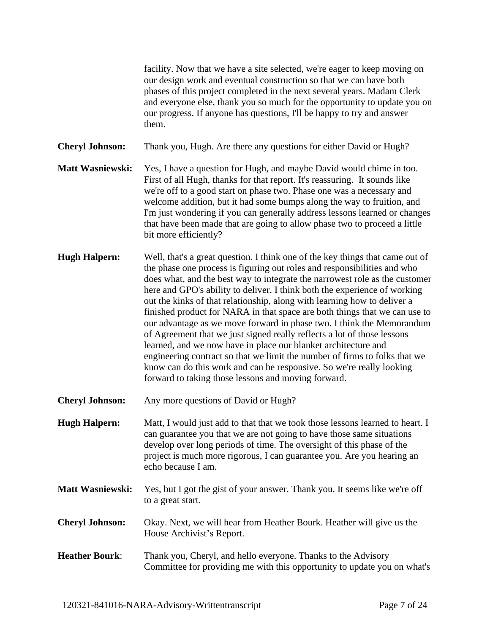facility. Now that we have a site selected, we're eager to keep moving on our design work and eventual construction so that we can have both phases of this project completed in the next several years. Madam Clerk and everyone else, thank you so much for the opportunity to update you on our progress. If anyone has questions, I'll be happy to try and answer them. **Cheryl Johnson:** Thank you, Hugh. Are there any questions for either David or Hugh? **Matt Wasniewski:** Yes, I have a question for Hugh, and maybe David would chime in too. First of all Hugh, thanks for that report. It's reassuring. It sounds like we're off to a good start on phase two. Phase one was a necessary and welcome addition, but it had some bumps along the way to fruition, and I'm just wondering if you can generally address lessons learned or changes that have been made that are going to allow phase two to proceed a little bit more efficiently? **Hugh Halpern:** Well, that's a great question. I think one of the key things that came out of the phase one process is figuring out roles and responsibilities and who does what, and the best way to integrate the narrowest role as the customer here and GPO's ability to deliver. I think both the experience of working out the kinks of that relationship, along with learning how to deliver a finished product for NARA in that space are both things that we can use to our advantage as we move forward in phase two. I think the Memorandum of Agreement that we just signed really reflects a lot of those lessons learned, and we now have in place our blanket architecture and engineering contract so that we limit the number of firms to folks that we know can do this work and can be responsive. So we're really looking forward to taking those lessons and moving forward. **Cheryl Johnson:** Any more questions of David or Hugh? **Hugh Halpern:** Matt, I would just add to that that we took those lessons learned to heart. I can guarantee you that we are not going to have those same situations develop over long periods of time. The oversight of this phase of the project is much more rigorous, I can guarantee you. Are you hearing an echo because I am.

- **Matt Wasniewski:** Yes, but I got the gist of your answer. Thank you. It seems like we're off to a great start.
- **Cheryl Johnson:** Okay. Next, we will hear from Heather Bourk. Heather will give us the House Archivist's Report.
- **Heather Bourk**: Thank you, Cheryl, and hello everyone. Thanks to the Advisory Committee for providing me with this opportunity to update you on what's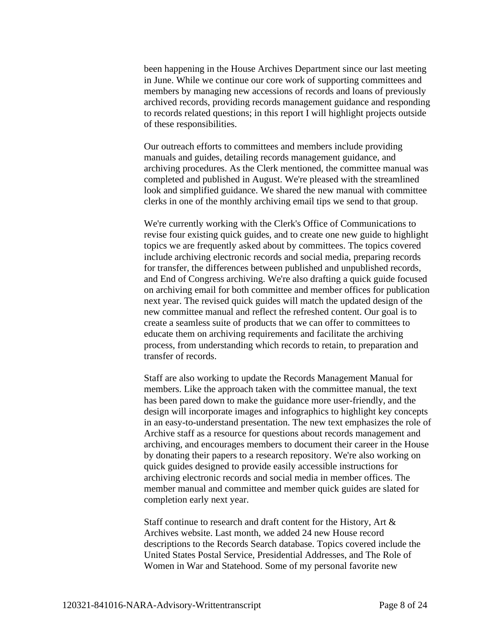been happening in the House Archives Department since our last meeting in June. While we continue our core work of supporting committees and members by managing new accessions of records and loans of previously archived records, providing records management guidance and responding to records related questions; in this report I will highlight projects outside of these responsibilities.

Our outreach efforts to committees and members include providing manuals and guides, detailing records management guidance, and archiving procedures. As the Clerk mentioned, the committee manual was completed and published in August. We're pleased with the streamlined look and simplified guidance. We shared the new manual with committee clerks in one of the monthly archiving email tips we send to that group.

We're currently working with the Clerk's Office of Communications to revise four existing quick guides, and to create one new guide to highlight topics we are frequently asked about by committees. The topics covered include archiving electronic records and social media, preparing records for transfer, the differences between published and unpublished records, and End of Congress archiving. We're also drafting a quick guide focused on archiving email for both committee and member offices for publication next year. The revised quick guides will match the updated design of the new committee manual and reflect the refreshed content. Our goal is to create a seamless suite of products that we can offer to committees to educate them on archiving requirements and facilitate the archiving process, from understanding which records to retain, to preparation and transfer of records.

Staff are also working to update the Records Management Manual for members. Like the approach taken with the committee manual, the text has been pared down to make the guidance more user-friendly, and the design will incorporate images and infographics to highlight key concepts in an easy-to-understand presentation. The new text emphasizes the role of Archive staff as a resource for questions about records management and archiving, and encourages members to document their career in the House by donating their papers to a research repository. We're also working on quick guides designed to provide easily accessible instructions for archiving electronic records and social media in member offices. The member manual and committee and member quick guides are slated for completion early next year.

Staff continue to research and draft content for the History, Art & Archives website. Last month, we added 24 new House record descriptions to the Records Search database. Topics covered include the United States Postal Service, Presidential Addresses, and The Role of Women in War and Statehood. Some of my personal favorite new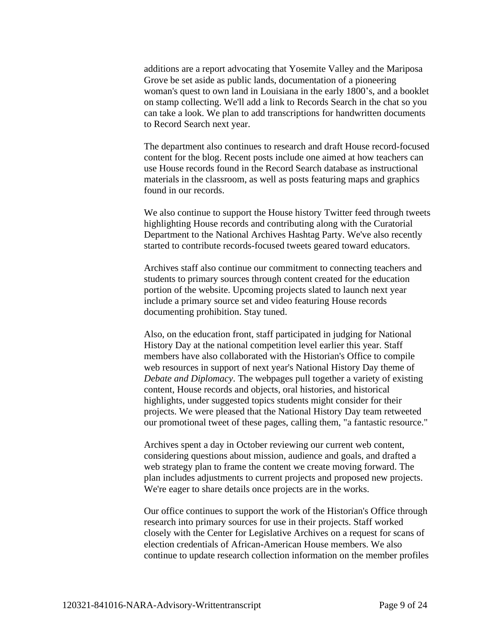additions are a report advocating that Yosemite Valley and the Mariposa Grove be set aside as public lands, documentation of a pioneering woman's quest to own land in Louisiana in the early 1800's, and a booklet on stamp collecting. We'll add a link to Records Search in the chat so you can take a look. We plan to add transcriptions for handwritten documents to Record Search next year.

The department also continues to research and draft House record-focused content for the blog. Recent posts include one aimed at how teachers can use House records found in the Record Search database as instructional materials in the classroom, as well as posts featuring maps and graphics found in our records.

We also continue to support the House history Twitter feed through tweets highlighting House records and contributing along with the Curatorial Department to the National Archives Hashtag Party. We've also recently started to contribute records-focused tweets geared toward educators.

Archives staff also continue our commitment to connecting teachers and students to primary sources through content created for the education portion of the website. Upcoming projects slated to launch next year include a primary source set and video featuring House records documenting prohibition. Stay tuned.

Also, on the education front, staff participated in judging for National History Day at the national competition level earlier this year. Staff members have also collaborated with the Historian's Office to compile web resources in support of next year's National History Day theme of *Debate and Diplomacy*. The webpages pull together a variety of existing content, House records and objects, oral histories, and historical highlights, under suggested topics students might consider for their projects. We were pleased that the National History Day team retweeted our promotional tweet of these pages, calling them, "a fantastic resource."

Archives spent a day in October reviewing our current web content, considering questions about mission, audience and goals, and drafted a web strategy plan to frame the content we create moving forward. The plan includes adjustments to current projects and proposed new projects. We're eager to share details once projects are in the works.

Our office continues to support the work of the Historian's Office through research into primary sources for use in their projects. Staff worked closely with the Center for Legislative Archives on a request for scans of election credentials of African-American House members. We also continue to update research collection information on the member profiles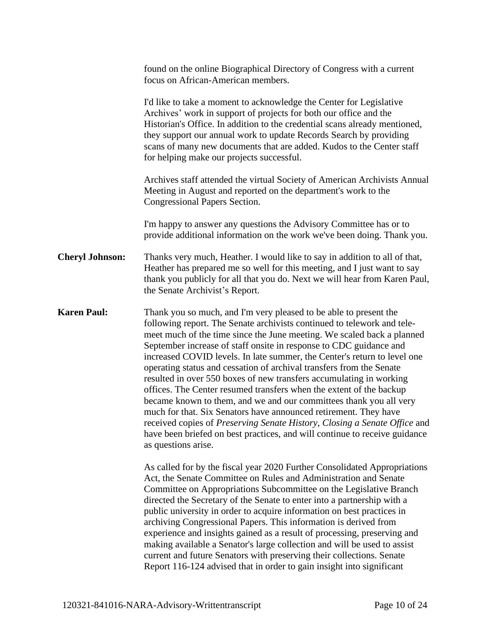|                        | found on the online Biographical Directory of Congress with a current<br>focus on African-American members.                                                                                                                                                                                                                                                                                                                                                                                                                                                                                                                                                                                                                                                                                                                                                                                                                |
|------------------------|----------------------------------------------------------------------------------------------------------------------------------------------------------------------------------------------------------------------------------------------------------------------------------------------------------------------------------------------------------------------------------------------------------------------------------------------------------------------------------------------------------------------------------------------------------------------------------------------------------------------------------------------------------------------------------------------------------------------------------------------------------------------------------------------------------------------------------------------------------------------------------------------------------------------------|
|                        | I'd like to take a moment to acknowledge the Center for Legislative<br>Archives' work in support of projects for both our office and the<br>Historian's Office. In addition to the credential scans already mentioned,<br>they support our annual work to update Records Search by providing<br>scans of many new documents that are added. Kudos to the Center staff<br>for helping make our projects successful.                                                                                                                                                                                                                                                                                                                                                                                                                                                                                                         |
|                        | Archives staff attended the virtual Society of American Archivists Annual<br>Meeting in August and reported on the department's work to the<br>Congressional Papers Section.                                                                                                                                                                                                                                                                                                                                                                                                                                                                                                                                                                                                                                                                                                                                               |
|                        | I'm happy to answer any questions the Advisory Committee has or to<br>provide additional information on the work we've been doing. Thank you.                                                                                                                                                                                                                                                                                                                                                                                                                                                                                                                                                                                                                                                                                                                                                                              |
| <b>Cheryl Johnson:</b> | Thanks very much, Heather. I would like to say in addition to all of that,<br>Heather has prepared me so well for this meeting, and I just want to say<br>thank you publicly for all that you do. Next we will hear from Karen Paul,<br>the Senate Archivist's Report.                                                                                                                                                                                                                                                                                                                                                                                                                                                                                                                                                                                                                                                     |
| <b>Karen Paul:</b>     | Thank you so much, and I'm very pleased to be able to present the<br>following report. The Senate archivists continued to telework and tele-<br>meet much of the time since the June meeting. We scaled back a planned<br>September increase of staff onsite in response to CDC guidance and<br>increased COVID levels. In late summer, the Center's return to level one<br>operating status and cessation of archival transfers from the Senate<br>resulted in over 550 boxes of new transfers accumulating in working<br>offices. The Center resumed transfers when the extent of the backup<br>became known to them, and we and our committees thank you all very<br>much for that. Six Senators have announced retirement. They have<br>received copies of Preserving Senate History, Closing a Senate Office and<br>have been briefed on best practices, and will continue to receive guidance<br>as questions arise. |
|                        | As called for by the fiscal year 2020 Further Consolidated Appropriations<br>Act, the Senate Committee on Rules and Administration and Senate<br>Committee on Appropriations Subcommittee on the Legislative Branch<br>directed the Secretary of the Senate to enter into a partnership with a<br>public university in order to acquire information on best practices in<br>archiving Congressional Papers. This information is derived from<br>experience and insights gained as a result of processing, preserving and<br>making available a Senator's large collection and will be used to assist                                                                                                                                                                                                                                                                                                                       |

current and future Senators with preserving their collections. Senate Report 116-124 advised that in order to gain insight into significant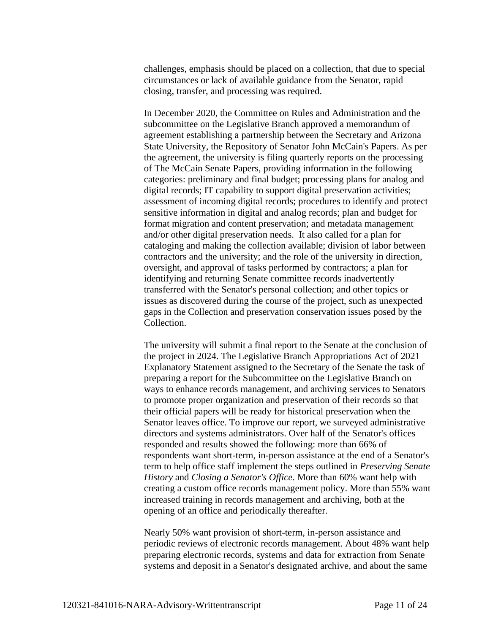challenges, emphasis should be placed on a collection, that due to special circumstances or lack of available guidance from the Senator, rapid closing, transfer, and processing was required.

In December 2020, the Committee on Rules and Administration and the subcommittee on the Legislative Branch approved a memorandum of agreement establishing a partnership between the Secretary and Arizona State University, the Repository of Senator John McCain's Papers. As per the agreement, the university is filing quarterly reports on the processing of The McCain Senate Papers, providing information in the following categories: preliminary and final budget; processing plans for analog and digital records; IT capability to support digital preservation activities; assessment of incoming digital records; procedures to identify and protect sensitive information in digital and analog records; plan and budget for format migration and content preservation; and metadata management and/or other digital preservation needs. It also called for a plan for cataloging and making the collection available; division of labor between contractors and the university; and the role of the university in direction, oversight, and approval of tasks performed by contractors; a plan for identifying and returning Senate committee records inadvertently transferred with the Senator's personal collection; and other topics or issues as discovered during the course of the project, such as unexpected gaps in the Collection and preservation conservation issues posed by the Collection.

The university will submit a final report to the Senate at the conclusion of the project in 2024. The Legislative Branch Appropriations Act of 2021 Explanatory Statement assigned to the Secretary of the Senate the task of preparing a report for the Subcommittee on the Legislative Branch on ways to enhance records management, and archiving services to Senators to promote proper organization and preservation of their records so that their official papers will be ready for historical preservation when the Senator leaves office. To improve our report, we surveyed administrative directors and systems administrators. Over half of the Senator's offices responded and results showed the following: more than 66% of respondents want short-term, in-person assistance at the end of a Senator's term to help office staff implement the steps outlined in *Preserving Senate History* and *Closing a Senator's Office*. More than 60% want help with creating a custom office records management policy. More than 55% want increased training in records management and archiving, both at the opening of an office and periodically thereafter.

Nearly 50% want provision of short-term, in-person assistance and periodic reviews of electronic records management. About 48% want help preparing electronic records, systems and data for extraction from Senate systems and deposit in a Senator's designated archive, and about the same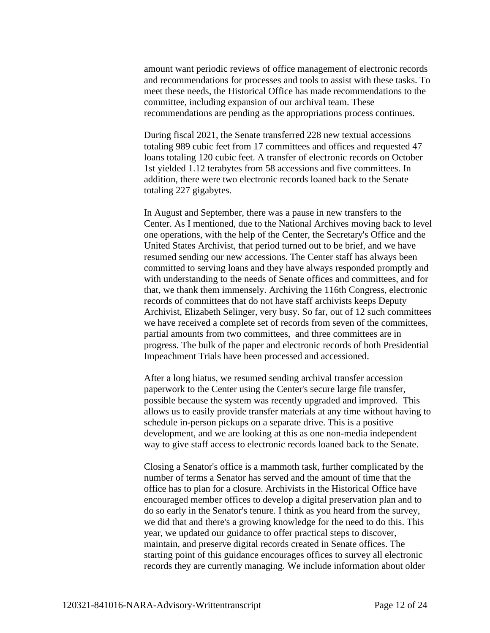amount want periodic reviews of office management of electronic records and recommendations for processes and tools to assist with these tasks. To meet these needs, the Historical Office has made recommendations to the committee, including expansion of our archival team. These recommendations are pending as the appropriations process continues.

During fiscal 2021, the Senate transferred 228 new textual accessions totaling 989 cubic feet from 17 committees and offices and requested 47 loans totaling 120 cubic feet. A transfer of electronic records on October 1st yielded 1.12 terabytes from 58 accessions and five committees. In addition, there were two electronic records loaned back to the Senate totaling 227 gigabytes.

In August and September, there was a pause in new transfers to the Center. As I mentioned, due to the National Archives moving back to level one operations, with the help of the Center, the Secretary's Office and the United States Archivist, that period turned out to be brief, and we have resumed sending our new accessions. The Center staff has always been committed to serving loans and they have always responded promptly and with understanding to the needs of Senate offices and committees, and for that, we thank them immensely. Archiving the 116th Congress, electronic records of committees that do not have staff archivists keeps Deputy Archivist, Elizabeth Selinger, very busy. So far, out of 12 such committees we have received a complete set of records from seven of the committees, partial amounts from two committees, and three committees are in progress. The bulk of the paper and electronic records of both Presidential Impeachment Trials have been processed and accessioned.

After a long hiatus, we resumed sending archival transfer accession paperwork to the Center using the Center's secure large file transfer, possible because the system was recently upgraded and improved. This allows us to easily provide transfer materials at any time without having to schedule in-person pickups on a separate drive. This is a positive development, and we are looking at this as one non-media independent way to give staff access to electronic records loaned back to the Senate.

Closing a Senator's office is a mammoth task, further complicated by the number of terms a Senator has served and the amount of time that the office has to plan for a closure. Archivists in the Historical Office have encouraged member offices to develop a digital preservation plan and to do so early in the Senator's tenure. I think as you heard from the survey, we did that and there's a growing knowledge for the need to do this. This year, we updated our guidance to offer practical steps to discover, maintain, and preserve digital records created in Senate offices. The starting point of this guidance encourages offices to survey all electronic records they are currently managing. We include information about older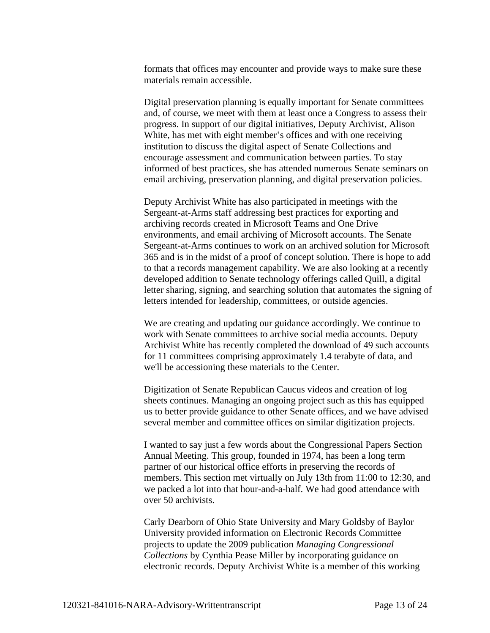formats that offices may encounter and provide ways to make sure these materials remain accessible.

Digital preservation planning is equally important for Senate committees and, of course, we meet with them at least once a Congress to assess their progress. In support of our digital initiatives, Deputy Archivist, Alison White, has met with eight member's offices and with one receiving institution to discuss the digital aspect of Senate Collections and encourage assessment and communication between parties. To stay informed of best practices, she has attended numerous Senate seminars on email archiving, preservation planning, and digital preservation policies.

Deputy Archivist White has also participated in meetings with the Sergeant-at-Arms staff addressing best practices for exporting and archiving records created in Microsoft Teams and One Drive environments, and email archiving of Microsoft accounts. The Senate Sergeant-at-Arms continues to work on an archived solution for Microsoft 365 and is in the midst of a proof of concept solution. There is hope to add to that a records management capability. We are also looking at a recently developed addition to Senate technology offerings called Quill, a digital letter sharing, signing, and searching solution that automates the signing of letters intended for leadership, committees, or outside agencies.

We are creating and updating our guidance accordingly. We continue to work with Senate committees to archive social media accounts. Deputy Archivist White has recently completed the download of 49 such accounts for 11 committees comprising approximately 1.4 terabyte of data, and we'll be accessioning these materials to the Center.

Digitization of Senate Republican Caucus videos and creation of log sheets continues. Managing an ongoing project such as this has equipped us to better provide guidance to other Senate offices, and we have advised several member and committee offices on similar digitization projects.

I wanted to say just a few words about the Congressional Papers Section Annual Meeting. This group, founded in 1974, has been a long term partner of our historical office efforts in preserving the records of members. This section met virtually on July 13th from 11:00 to 12:30, and we packed a lot into that hour-and-a-half. We had good attendance with over 50 archivists.

Carly Dearborn of Ohio State University and Mary Goldsby of Baylor University provided information on Electronic Records Committee projects to update the 2009 publication *Managing Congressional Collections* by Cynthia Pease Miller by incorporating guidance on electronic records. Deputy Archivist White is a member of this working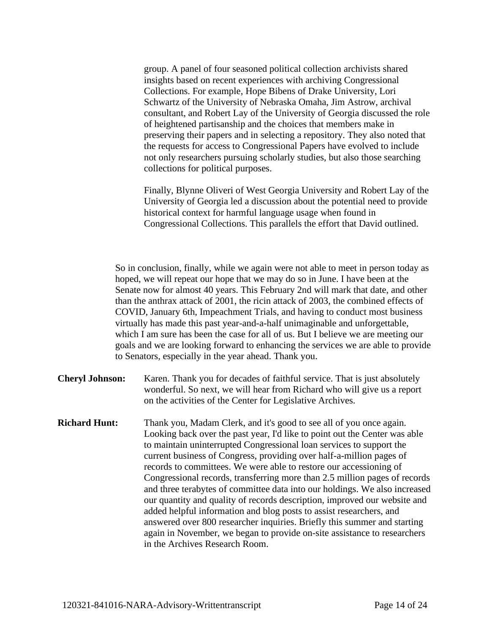group. A panel of four seasoned political collection archivists shared insights based on recent experiences with archiving Congressional Collections. For example, Hope Bibens of Drake University, Lori Schwartz of the University of Nebraska Omaha, Jim Astrow, archival consultant, and Robert Lay of the University of Georgia discussed the role of heightened partisanship and the choices that members make in preserving their papers and in selecting a repository. They also noted that the requests for access to Congressional Papers have evolved to include not only researchers pursuing scholarly studies, but also those searching collections for political purposes.

Finally, Blynne Oliveri of West Georgia University and Robert Lay of the University of Georgia led a discussion about the potential need to provide historical context for harmful language usage when found in Congressional Collections. This parallels the effort that David outlined.

So in conclusion, finally, while we again were not able to meet in person today as hoped, we will repeat our hope that we may do so in June. I have been at the Senate now for almost 40 years. This February 2nd will mark that date, and other than the anthrax attack of 2001, the ricin attack of 2003, the combined effects of COVID, January 6th, Impeachment Trials, and having to conduct most business virtually has made this past year-and-a-half unimaginable and unforgettable, which I am sure has been the case for all of us. But I believe we are meeting our goals and we are looking forward to enhancing the services we are able to provide to Senators, especially in the year ahead. Thank you.

- **Cheryl Johnson:** Karen. Thank you for decades of faithful service. That is just absolutely wonderful. So next, we will hear from Richard who will give us a report on the activities of the Center for Legislative Archives.
- **Richard Hunt:** Thank you, Madam Clerk, and it's good to see all of you once again. Looking back over the past year, I'd like to point out the Center was able to maintain uninterrupted Congressional loan services to support the current business of Congress, providing over half-a-million pages of records to committees. We were able to restore our accessioning of Congressional records, transferring more than 2.5 million pages of records and three terabytes of committee data into our holdings. We also increased our quantity and quality of records description, improved our website and added helpful information and blog posts to assist researchers, and answered over 800 researcher inquiries. Briefly this summer and starting again in November, we began to provide on-site assistance to researchers in the Archives Research Room.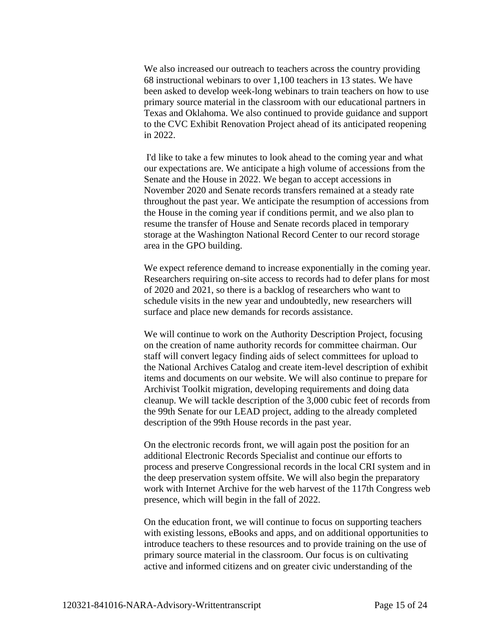We also increased our outreach to teachers across the country providing 68 instructional webinars to over 1,100 teachers in 13 states. We have been asked to develop week-long webinars to train teachers on how to use primary source material in the classroom with our educational partners in Texas and Oklahoma. We also continued to provide guidance and support to the CVC Exhibit Renovation Project ahead of its anticipated reopening in 2022.

I'd like to take a few minutes to look ahead to the coming year and what our expectations are. We anticipate a high volume of accessions from the Senate and the House in 2022. We began to accept accessions in November 2020 and Senate records transfers remained at a steady rate throughout the past year. We anticipate the resumption of accessions from the House in the coming year if conditions permit, and we also plan to resume the transfer of House and Senate records placed in temporary storage at the Washington National Record Center to our record storage area in the GPO building.

We expect reference demand to increase exponentially in the coming year. Researchers requiring on-site access to records had to defer plans for most of 2020 and 2021, so there is a backlog of researchers who want to schedule visits in the new year and undoubtedly, new researchers will surface and place new demands for records assistance.

We will continue to work on the Authority Description Project, focusing on the creation of name authority records for committee chairman. Our staff will convert legacy finding aids of select committees for upload to the National Archives Catalog and create item-level description of exhibit items and documents on our website. We will also continue to prepare for Archivist Toolkit migration, developing requirements and doing data cleanup. We will tackle description of the 3,000 cubic feet of records from the 99th Senate for our LEAD project, adding to the already completed description of the 99th House records in the past year.

On the electronic records front, we will again post the position for an additional Electronic Records Specialist and continue our efforts to process and preserve Congressional records in the local CRI system and in the deep preservation system offsite. We will also begin the preparatory work with Internet Archive for the web harvest of the 117th Congress web presence, which will begin in the fall of 2022.

On the education front, we will continue to focus on supporting teachers with existing lessons, eBooks and apps, and on additional opportunities to introduce teachers to these resources and to provide training on the use of primary source material in the classroom. Our focus is on cultivating active and informed citizens and on greater civic understanding of the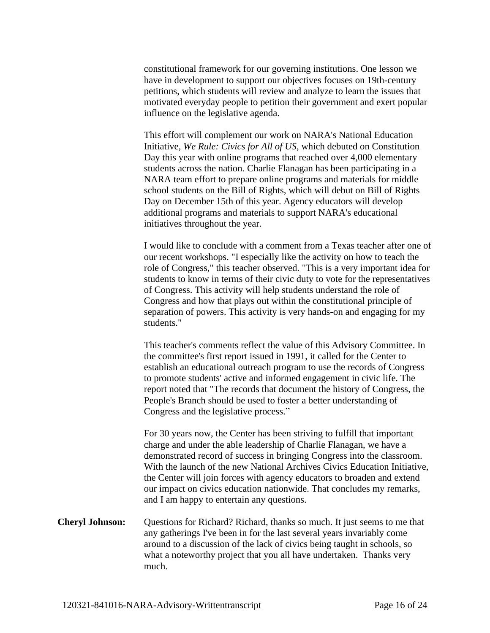constitutional framework for our governing institutions. One lesson we have in development to support our objectives focuses on 19th-century petitions, which students will review and analyze to learn the issues that motivated everyday people to petition their government and exert popular influence on the legislative agenda.

This effort will complement our work on NARA's National Education Initiative, *We Rule: Civics for All of US*, which debuted on Constitution Day this year with online programs that reached over 4,000 elementary students across the nation. Charlie Flanagan has been participating in a NARA team effort to prepare online programs and materials for middle school students on the Bill of Rights, which will debut on Bill of Rights Day on December 15th of this year. Agency educators will develop additional programs and materials to support NARA's educational initiatives throughout the year.

I would like to conclude with a comment from a Texas teacher after one of our recent workshops. "I especially like the activity on how to teach the role of Congress," this teacher observed. "This is a very important idea for students to know in terms of their civic duty to vote for the representatives of Congress. This activity will help students understand the role of Congress and how that plays out within the constitutional principle of separation of powers. This activity is very hands-on and engaging for my students."

This teacher's comments reflect the value of this Advisory Committee. In the committee's first report issued in 1991, it called for the Center to establish an educational outreach program to use the records of Congress to promote students' active and informed engagement in civic life. The report noted that "The records that document the history of Congress, the People's Branch should be used to foster a better understanding of Congress and the legislative process."

For 30 years now, the Center has been striving to fulfill that important charge and under the able leadership of Charlie Flanagan, we have a demonstrated record of success in bringing Congress into the classroom. With the launch of the new National Archives Civics Education Initiative, the Center will join forces with agency educators to broaden and extend our impact on civics education nationwide. That concludes my remarks, and I am happy to entertain any questions.

**Cheryl Johnson:** Questions for Richard? Richard, thanks so much. It just seems to me that any gatherings I've been in for the last several years invariably come around to a discussion of the lack of civics being taught in schools, so what a noteworthy project that you all have undertaken. Thanks very much.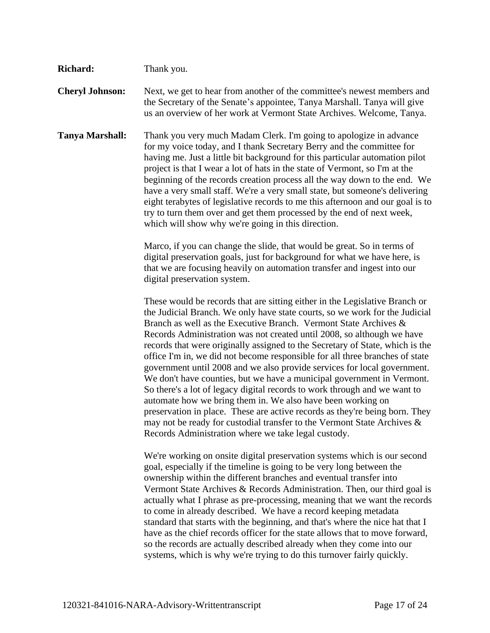| <b>Richard:</b>        | Thank you.                                                                                                                                                                                                                                                                                                                                                                                                                                                                                                                                                                                                                                                                                                                                                                                                                                                                                                                                                                                      |
|------------------------|-------------------------------------------------------------------------------------------------------------------------------------------------------------------------------------------------------------------------------------------------------------------------------------------------------------------------------------------------------------------------------------------------------------------------------------------------------------------------------------------------------------------------------------------------------------------------------------------------------------------------------------------------------------------------------------------------------------------------------------------------------------------------------------------------------------------------------------------------------------------------------------------------------------------------------------------------------------------------------------------------|
| <b>Cheryl Johnson:</b> | Next, we get to hear from another of the committee's newest members and<br>the Secretary of the Senate's appointee, Tanya Marshall. Tanya will give<br>us an overview of her work at Vermont State Archives. Welcome, Tanya.                                                                                                                                                                                                                                                                                                                                                                                                                                                                                                                                                                                                                                                                                                                                                                    |
| <b>Tanya Marshall:</b> | Thank you very much Madam Clerk. I'm going to apologize in advance<br>for my voice today, and I thank Secretary Berry and the committee for<br>having me. Just a little bit background for this particular automation pilot<br>project is that I wear a lot of hats in the state of Vermont, so I'm at the<br>beginning of the records creation process all the way down to the end. We<br>have a very small staff. We're a very small state, but someone's delivering<br>eight terabytes of legislative records to me this afternoon and our goal is to<br>try to turn them over and get them processed by the end of next week,<br>which will show why we're going in this direction.                                                                                                                                                                                                                                                                                                         |
|                        | Marco, if you can change the slide, that would be great. So in terms of<br>digital preservation goals, just for background for what we have here, is<br>that we are focusing heavily on automation transfer and ingest into our<br>digital preservation system.                                                                                                                                                                                                                                                                                                                                                                                                                                                                                                                                                                                                                                                                                                                                 |
|                        | These would be records that are sitting either in the Legislative Branch or<br>the Judicial Branch. We only have state courts, so we work for the Judicial<br>Branch as well as the Executive Branch. Vermont State Archives &<br>Records Administration was not created until 2008, so although we have<br>records that were originally assigned to the Secretary of State, which is the<br>office I'm in, we did not become responsible for all three branches of state<br>government until 2008 and we also provide services for local government.<br>We don't have counties, but we have a municipal government in Vermont.<br>So there's a lot of legacy digital records to work through and we want to<br>automate how we bring them in. We also have been working on<br>preservation in place. These are active records as they're being born. They<br>may not be ready for custodial transfer to the Vermont State Archives $\&$<br>Records Administration where we take legal custody. |
|                        | We're working on onsite digital preservation systems which is our second<br>goal, especially if the timeline is going to be very long between the<br>ownership within the different branches and eventual transfer into<br>Vermont State Archives & Records Administration. Then, our third goal is<br>actually what I phrase as pre-processing, meaning that we want the records<br>to come in already described. We have a record keeping metadata<br>standard that starts with the beginning, and that's where the nice hat that I<br>have as the chief records officer for the state allows that to move forward,<br>so the records are actually described already when they come into our<br>systems, which is why we're trying to do this turnover fairly quickly.                                                                                                                                                                                                                        |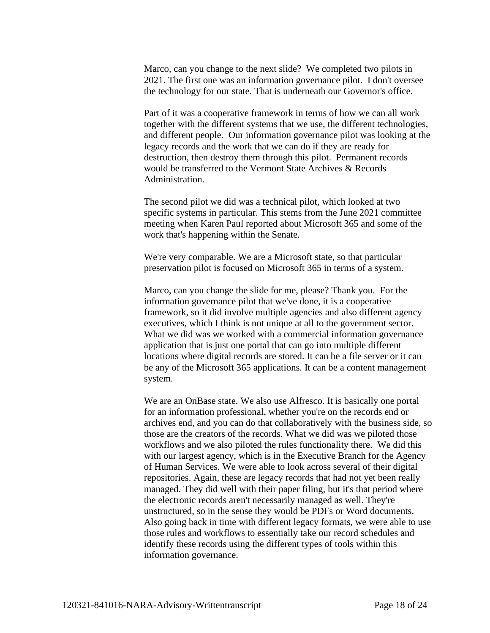Marco, can you change to the next slide? We completed two pilots in 2021. The first one was an information governance pilot. I don't oversee the technology for our state. That is underneath our Governor's office.

Part of it was a cooperative framework in terms of how we can all work together with the different systems that we use, the different technologies, and different people. Our information governance pilot was looking at the legacy records and the work that we can do if they are ready for destruction, then destroy them through this pilot. Permanent records would be transferred to the Vermont State Archives & Records Administration.

The second pilot we did was a technical pilot, which looked at two specific systems in particular. This stems from the June 2021 committee meeting when Karen Paul reported about Microsoft 365 and some of the work that's happening within the Senate.

We're very comparable. We are a Microsoft state, so that particular preservation pilot is focused on Microsoft 365 in terms of a system.

Marco, can you change the slide for me, please? Thank you. For the information governance pilot that we've done, it is a cooperative framework, so it did involve multiple agencies and also different agency executives, which I think is not unique at all to the government sector. What we did was we worked with a commercial information governance application that is just one portal that can go into multiple different locations where digital records are stored. It can be a file server or it can be any of the Microsoft 365 applications. It can be a content management system.

We are an OnBase state. We also use Alfresco. It is basically one portal for an information professional, whether you're on the records end or archives end, and you can do that collaboratively with the business side, so those are the creators of the records. What we did was we piloted those workflows and we also piloted the rules functionality there. We did this with our largest agency, which is in the Executive Branch for the Agency of Human Services. We were able to look across several of their digital repositories. Again, these are legacy records that had not yet been really managed. They did well with their paper filing, but it's that period where the electronic records aren't necessarily managed as well. They're unstructured, so in the sense they would be PDFs or Word documents. Also going back in time with different legacy formats, we were able to use those rules and workflows to essentially take our record schedules and identify these records using the different types of tools within this information governance.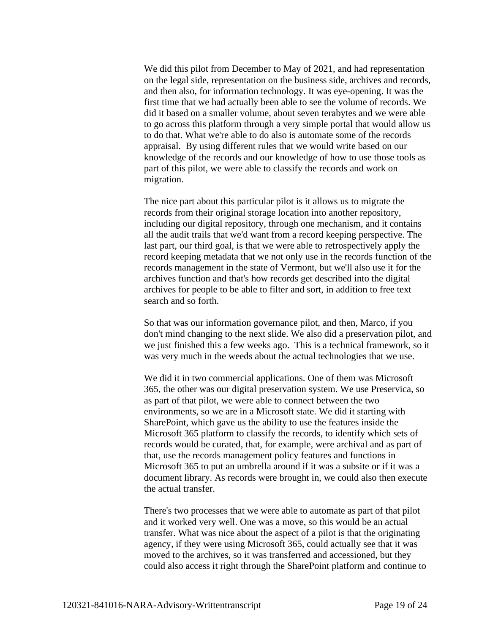We did this pilot from December to May of 2021, and had representation on the legal side, representation on the business side, archives and records, and then also, for information technology. It was eye-opening. It was the first time that we had actually been able to see the volume of records. We did it based on a smaller volume, about seven terabytes and we were able to go across this platform through a very simple portal that would allow us to do that. What we're able to do also is automate some of the records appraisal. By using different rules that we would write based on our knowledge of the records and our knowledge of how to use those tools as part of this pilot, we were able to classify the records and work on migration.

The nice part about this particular pilot is it allows us to migrate the records from their original storage location into another repository, including our digital repository, through one mechanism, and it contains all the audit trails that we'd want from a record keeping perspective. The last part, our third goal, is that we were able to retrospectively apply the record keeping metadata that we not only use in the records function of the records management in the state of Vermont, but we'll also use it for the archives function and that's how records get described into the digital archives for people to be able to filter and sort, in addition to free text search and so forth.

So that was our information governance pilot, and then, Marco, if you don't mind changing to the next slide. We also did a preservation pilot, and we just finished this a few weeks ago. This is a technical framework, so it was very much in the weeds about the actual technologies that we use.

We did it in two commercial applications. One of them was Microsoft 365, the other was our digital preservation system. We use Preservica, so as part of that pilot, we were able to connect between the two environments, so we are in a Microsoft state. We did it starting with SharePoint, which gave us the ability to use the features inside the Microsoft 365 platform to classify the records, to identify which sets of records would be curated, that, for example, were archival and as part of that, use the records management policy features and functions in Microsoft 365 to put an umbrella around if it was a subsite or if it was a document library. As records were brought in, we could also then execute the actual transfer.

There's two processes that we were able to automate as part of that pilot and it worked very well. One was a move, so this would be an actual transfer. What was nice about the aspect of a pilot is that the originating agency, if they were using Microsoft 365, could actually see that it was moved to the archives, so it was transferred and accessioned, but they could also access it right through the SharePoint platform and continue to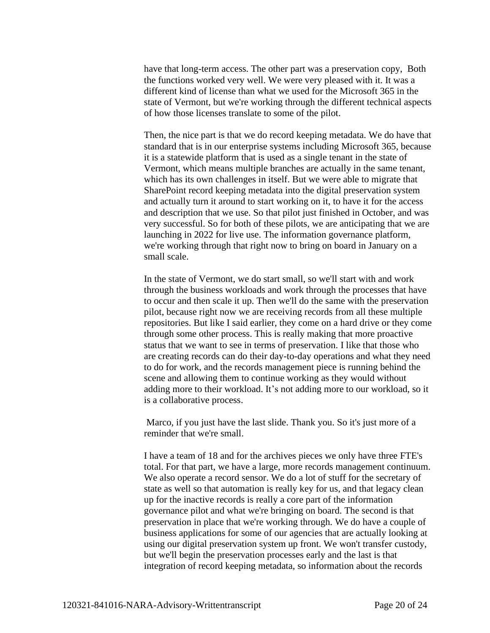have that long-term access. The other part was a preservation copy, Both the functions worked very well. We were very pleased with it. It was a different kind of license than what we used for the Microsoft 365 in the state of Vermont, but we're working through the different technical aspects of how those licenses translate to some of the pilot.

Then, the nice part is that we do record keeping metadata. We do have that standard that is in our enterprise systems including Microsoft 365, because it is a statewide platform that is used as a single tenant in the state of Vermont, which means multiple branches are actually in the same tenant, which has its own challenges in itself. But we were able to migrate that SharePoint record keeping metadata into the digital preservation system and actually turn it around to start working on it, to have it for the access and description that we use. So that pilot just finished in October, and was very successful. So for both of these pilots, we are anticipating that we are launching in 2022 for live use. The information governance platform, we're working through that right now to bring on board in January on a small scale.

In the state of Vermont, we do start small, so we'll start with and work through the business workloads and work through the processes that have to occur and then scale it up. Then we'll do the same with the preservation pilot, because right now we are receiving records from all these multiple repositories. But like I said earlier, they come on a hard drive or they come through some other process. This is really making that more proactive status that we want to see in terms of preservation. I like that those who are creating records can do their day-to-day operations and what they need to do for work, and the records management piece is running behind the scene and allowing them to continue working as they would without adding more to their workload. It's not adding more to our workload, so it is a collaborative process.

Marco, if you just have the last slide. Thank you. So it's just more of a reminder that we're small.

I have a team of 18 and for the archives pieces we only have three FTE's total. For that part, we have a large, more records management continuum. We also operate a record sensor. We do a lot of stuff for the secretary of state as well so that automation is really key for us, and that legacy clean up for the inactive records is really a core part of the information governance pilot and what we're bringing on board. The second is that preservation in place that we're working through. We do have a couple of business applications for some of our agencies that are actually looking at using our digital preservation system up front. We won't transfer custody, but we'll begin the preservation processes early and the last is that integration of record keeping metadata, so information about the records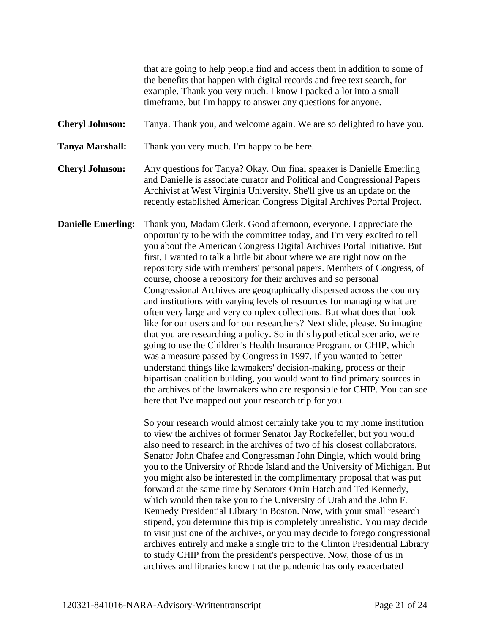that are going to help people find and access them in addition to some of the benefits that happen with digital records and free text search, for example. Thank you very much. I know I packed a lot into a small timeframe, but I'm happy to answer any questions for anyone.

**Cheryl Johnson:** Tanya. Thank you, and welcome again. We are so delighted to have you.

**Tanya Marshall:** Thank you very much. I'm happy to be here.

**Cheryl Johnson:** Any questions for Tanya? Okay. Our final speaker is Danielle Emerling and Danielle is associate curator and Political and Congressional Papers Archivist at West Virginia University. She'll give us an update on the recently established American Congress Digital Archives Portal Project.

**Danielle Emerling:** Thank you, Madam Clerk. Good afternoon, everyone. I appreciate the opportunity to be with the committee today, and I'm very excited to tell you about the American Congress Digital Archives Portal Initiative. But first, I wanted to talk a little bit about where we are right now on the repository side with members' personal papers. Members of Congress, of course, choose a repository for their archives and so personal Congressional Archives are geographically dispersed across the country and institutions with varying levels of resources for managing what are often very large and very complex collections. But what does that look like for our users and for our researchers? Next slide, please. So imagine that you are researching a policy. So in this hypothetical scenario, we're going to use the Children's Health Insurance Program, or CHIP, which was a measure passed by Congress in 1997. If you wanted to better understand things like lawmakers' decision-making, process or their bipartisan coalition building, you would want to find primary sources in the archives of the lawmakers who are responsible for CHIP. You can see here that I've mapped out your research trip for you.

> So your research would almost certainly take you to my home institution to view the archives of former Senator Jay Rockefeller, but you would also need to research in the archives of two of his closest collaborators, Senator John Chafee and Congressman John Dingle, which would bring you to the University of Rhode Island and the University of Michigan. But you might also be interested in the complimentary proposal that was put forward at the same time by Senators Orrin Hatch and Ted Kennedy, which would then take you to the University of Utah and the John F. Kennedy Presidential Library in Boston. Now, with your small research stipend, you determine this trip is completely unrealistic. You may decide to visit just one of the archives, or you may decide to forego congressional archives entirely and make a single trip to the Clinton Presidential Library to study CHIP from the president's perspective. Now, those of us in archives and libraries know that the pandemic has only exacerbated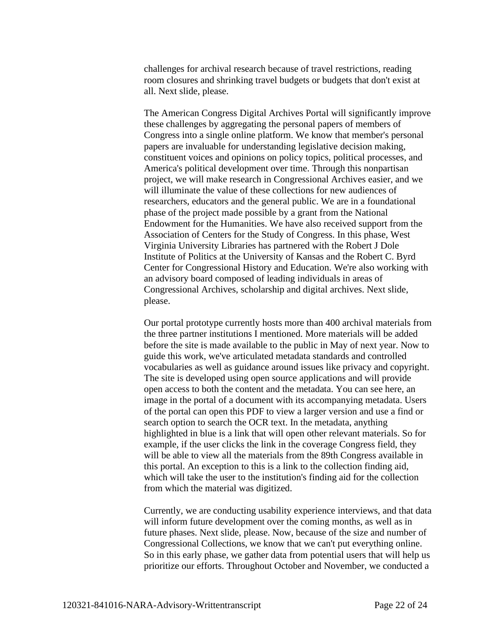challenges for archival research because of travel restrictions, reading room closures and shrinking travel budgets or budgets that don't exist at all. Next slide, please.

The American Congress Digital Archives Portal will significantly improve these challenges by aggregating the personal papers of members of Congress into a single online platform. We know that member's personal papers are invaluable for understanding legislative decision making, constituent voices and opinions on policy topics, political processes, and America's political development over time. Through this nonpartisan project, we will make research in Congressional Archives easier, and we will illuminate the value of these collections for new audiences of researchers, educators and the general public. We are in a foundational phase of the project made possible by a grant from the National Endowment for the Humanities. We have also received support from the Association of Centers for the Study of Congress. In this phase, West Virginia University Libraries has partnered with the Robert J Dole Institute of Politics at the University of Kansas and the Robert C. Byrd Center for Congressional History and Education. We're also working with an advisory board composed of leading individuals in areas of Congressional Archives, scholarship and digital archives. Next slide, please.

Our portal prototype currently hosts more than 400 archival materials from the three partner institutions I mentioned. More materials will be added before the site is made available to the public in May of next year. Now to guide this work, we've articulated metadata standards and controlled vocabularies as well as guidance around issues like privacy and copyright. The site is developed using open source applications and will provide open access to both the content and the metadata. You can see here, an image in the portal of a document with its accompanying metadata. Users of the portal can open this PDF to view a larger version and use a find or search option to search the OCR text. In the metadata, anything highlighted in blue is a link that will open other relevant materials. So for example, if the user clicks the link in the coverage Congress field, they will be able to view all the materials from the 89th Congress available in this portal. An exception to this is a link to the collection finding aid, which will take the user to the institution's finding aid for the collection from which the material was digitized.

Currently, we are conducting usability experience interviews, and that data will inform future development over the coming months, as well as in future phases. Next slide, please. Now, because of the size and number of Congressional Collections, we know that we can't put everything online. So in this early phase, we gather data from potential users that will help us prioritize our efforts. Throughout October and November, we conducted a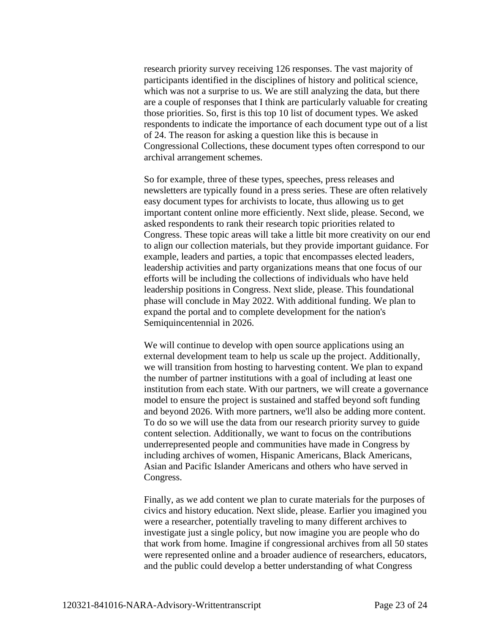research priority survey receiving 126 responses. The vast majority of participants identified in the disciplines of history and political science, which was not a surprise to us. We are still analyzing the data, but there are a couple of responses that I think are particularly valuable for creating those priorities. So, first is this top 10 list of document types. We asked respondents to indicate the importance of each document type out of a list of 24. The reason for asking a question like this is because in Congressional Collections, these document types often correspond to our archival arrangement schemes.

So for example, three of these types, speeches, press releases and newsletters are typically found in a press series. These are often relatively easy document types for archivists to locate, thus allowing us to get important content online more efficiently. Next slide, please. Second, we asked respondents to rank their research topic priorities related to Congress. These topic areas will take a little bit more creativity on our end to align our collection materials, but they provide important guidance. For example, leaders and parties, a topic that encompasses elected leaders, leadership activities and party organizations means that one focus of our efforts will be including the collections of individuals who have held leadership positions in Congress. Next slide, please. This foundational phase will conclude in May 2022. With additional funding. We plan to expand the portal and to complete development for the nation's Semiquincentennial in 2026.

We will continue to develop with open source applications using an external development team to help us scale up the project. Additionally, we will transition from hosting to harvesting content. We plan to expand the number of partner institutions with a goal of including at least one institution from each state. With our partners, we will create a governance model to ensure the project is sustained and staffed beyond soft funding and beyond 2026. With more partners, we'll also be adding more content. To do so we will use the data from our research priority survey to guide content selection. Additionally, we want to focus on the contributions underrepresented people and communities have made in Congress by including archives of women, Hispanic Americans, Black Americans, Asian and Pacific Islander Americans and others who have served in Congress.

Finally, as we add content we plan to curate materials for the purposes of civics and history education. Next slide, please. Earlier you imagined you were a researcher, potentially traveling to many different archives to investigate just a single policy, but now imagine you are people who do that work from home. Imagine if congressional archives from all 50 states were represented online and a broader audience of researchers, educators, and the public could develop a better understanding of what Congress